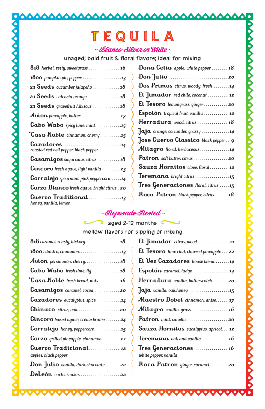# TEQUILA

Ô O O O O O Ο

## ~ Blanco Silver or White ~

unaged; bold fruit & floral flavors; ideal for mixing

| <b>1800</b> pumpkin pie, pepper $\ldots \ldots \ldots \ldots \ldots \ldots$                       |
|---------------------------------------------------------------------------------------------------|
| 21 Seeds cucumber jalapeño $\ldots \ldots \ldots \ldots 18$                                       |
|                                                                                                   |
| 21 Seeds grapefruit hibiscus $\ldots \ldots \ldots \ldots$ 18                                     |
|                                                                                                   |
| Cabo Wabo spicy lime, mint15                                                                      |
| *Casa Noble cinnamon, cherry15                                                                    |
| $Gazadores \dots \dots \dots \dots \dots \dots \dots 14$<br>roasted red bell pepper, black pepper |
| $\text{Casamigos } sugarcane, citrus \dots \dots \dots 18$                                        |
| <b>Cincoro</b> fresh agave, light vanilla 23                                                      |
| <b>Corralejo</b> spearmint, pink peppercorn $\dots$ 14                                            |
| <b>Corzo Blanco</b> fresh agave, bright citrus . 20                                               |
| Cuervo Traditional<br>honey, vanilla, lemon                                                       |

000000000

Ō

n

0000000

666

Δ Ο  $\bullet$  $\bullet$ 

## ~ Reposado Rested ~

# aged 2-12 months G *Meposado Rested*<br>aged 2-12 months<br>mellow flavors for sipping or mixing

| Cabo Wabo fresh lime, fig. 18                            |
|----------------------------------------------------------|
| *Casa Noble fresh bread, nuts  16                        |
| $\text{Casamigos}$ caramel, $cocoa$ 20                   |
| $Gazadores eucalyptus, spice.\n\ldots.\n\ldots.\n\ldots$ |
|                                                          |
| <b>Cincoro</b> baked agave, crème brulee <b>24</b>       |
|                                                          |
| <b>Corzo</b> grilled pineapple, cinnamon21               |
| Cuervo Tradicional 12                                    |
| apples, black pepper                                     |
| <b>Don</b> Julio vanilla, dark chocolate $\ldots$ 22     |
|                                                          |

 $\bullet$  $\bullet$  $\bullet$  $\bullet$  $\bullet$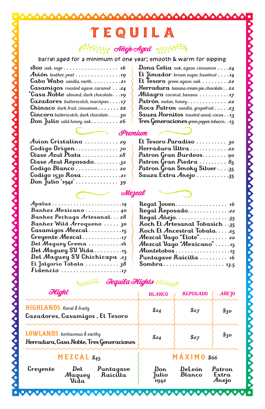## Añejo Aged  $\frac{1}{\sqrt{11}}$ <u> انزائزنونیا</u>

barrel aged for a minimum of one year; smooth & warm for sipping

| <b>1800</b> oak, sage 16                         |
|--------------------------------------------------|
| Avión leather, peat 19                           |
| Cabo Wabo vanilla, earth. 21                     |
| Casamigos roasted agave, caramel 24              |
| *Casa Noble almond, dark chocolate. 19           |
| $Gazadores butterscotch, marzipan \ldots .17$    |
| $Chinaco$ dark fruit, cinnamon 22                |
| <b>Cincoro</b> butterscotch, dark chocolate $30$ |
| Don Julio wild honey, oak. $\ldots \ldots$ 26    |

| Dona Celia oak, agave, cinnamon 24                    |
|-------------------------------------------------------|
| El Jimador brown sugar, hazelnut $\ldots$ 14          |
| El Tesoro green agave, oak 22                         |
| Herradura banana cream pie, chocolate 22              |
| Milagro coconut, banana 17                            |
| Patrón $melon, honey. \ldots \ldots \ldots \ldots 22$ |
| Roca Patron vanilla, grapefruit 23                    |
| Sauza Hornitos toasted wood, cocoa3                   |
| Tres Generaciones green pepper, tobacco. . 15         |

Ο Δ Δ Δ ٥ Δ Ο Δ

| Avion Cristalino 29          | El Tesoro Paradis |
|------------------------------|-------------------|
|                              | Herradura Ultra.  |
| Clase Azul Plata28           | Patron Gran Burd  |
| Clase Azul Reposado32        | Patron Gran Piedi |
| Codigo Blanco 20             | Patron Gran Smok  |
| Codigo 1530 $\text{Rosa}$ 21 | Sauza Extra Anejo |
| Don Julio '1942' 39          |                   |
|                              | Mezcal            |
|                              |                   |

|                                    | 11 00 gorton wettertoo grampappa, asutta 11 j |
|------------------------------------|-----------------------------------------------|
|                                    | Premium                                       |
| 10 29                              | El Tesoro Paradiso 30                         |
| . 70                               | Herradura Ultra22                             |
| $a \ldots \ldots \ldots 28$        | Patron Gran Burdeos 90                        |
| osado. <u>3</u> 2                  | Patron Gran Piedra  85                        |
| . 20                               | Patron Gran Smoky Silver 35                   |
| $a \ldots \ldots \ldots \ldots 21$ | Sauza Extra Anejo 35                          |
|                                    |                                               |

|                                    | llegal Joven. |
|------------------------------------|---------------|
| Banhez Mexicano 40                 | llegal Reposo |
| Banhez Pechuga Artesanal 28        | llegal Añejo. |
| Banhez Wild Arroqueno  30          | Koch El Artes |
| Casamigos Mezcal3                  | Koch El Ance  |
| Creyente Mezcal7                   | Mezcal Vago   |
| Del Maguey Crema 16                | Mezcal Vago   |
| Del Maguey SV Vida15               | Montelobos.   |
| Del Maguey SV Chichicapa .23       | Puntagave R   |
| El Jolgorio Tobala  38             | Sombra        |
|                                    |               |
| with <b>Jequila Flights</b> Hitter |               |

| llegal Reposado22                                                         |
|---------------------------------------------------------------------------|
| $\ell$ llegal Añejo35                                                     |
| Koch El Artesanal Tobasich. .35                                           |
| Koch El Ancestral Tobala25                                                |
| Mezcal Vago "Elote" 20                                                    |
| Mezcal Vago "Mexicano" 15                                                 |
| $\mathcal{M}$ ontelobos $\dots \dots \dots \dots \dots \dots \dots \dots$ |
| Puntagave Raicilla  16                                                    |
|                                                                           |

| Flight                                                                   |                                           | <b>BLANCO</b>         | <b>REPOSADO</b>      | <b>ANEJO</b>      |                          |
|--------------------------------------------------------------------------|-------------------------------------------|-----------------------|----------------------|-------------------|--------------------------|
| <b>HIGHLANDS</b> floral & fruity<br>Cazadores, Casamigos, El Tesoro      |                                           | \$24                  | $s_{27}$             | $\mathcal{S}_3$ o |                          |
| LOWLANDS herbaceous & earthy<br>Herradura, Casa Noble, Tres Generaciones |                                           | \$24                  | $s_{27}$             | \$30              |                          |
| MEZGAL \$45                                                              |                                           | MÁXIMO \$66           |                      |                   |                          |
| Creyente                                                                 | $\mathbf{D}\mathbf{el}$<br>Maquey<br>Vida | Puntagave<br>Raicilla | Don<br>Julio<br>1942 | DeLeón<br>Blanco  | Patron<br>Extra<br>Anejo |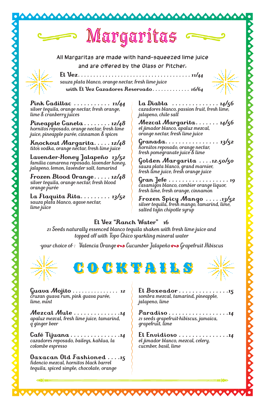

**Mezcal Mule** *. . . . . . . . . . . . . 14 apaluz mezcal, fresh lime juice, tamarind, q ginger beer*

*lime, mint*

**Café Tijuana** *. . . . . . . . . . . . . . 14 cazadores reposado, baileys, kahlua, la colombe espresso*

**Oaxacan Old Fashioned** *. . . 15 fidencio mezcal, hornitos black barrel tequila, spiced simple, chocolate, orange*

*sombra mezcal, tamarind, pineapple, jalapeno, lime*

**Paradiso** *. . . . . . . . . . . . . . . . . 14 21 seeds grapefruit-hibiscus, jamaica, grapefruit, lime*

**El Envidioso** *. . . . . . . . . . . . . . 14 el jimador blanco, mezcal, celery, cucmber, basil, lime*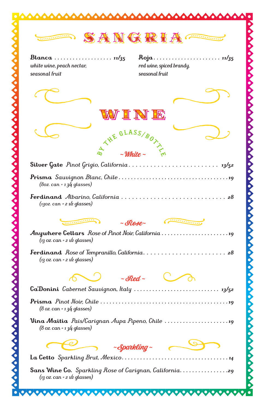